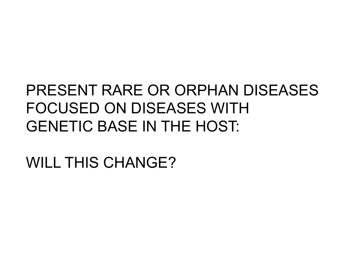# PRESENT RARE OR ORPHAN DISEASES FOCUSED ON DISEASES WITH GENETIC BASE IN THE HOST:

WILL THIS CHANGE?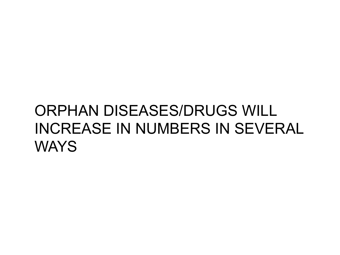## ORPHAN DISEASES/DRUGS WILL INCREASE IN NUMBERS IN SEVERAL **WAYS**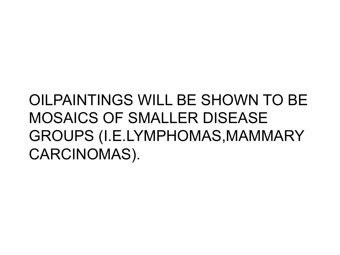## OILPAINTINGS WILL BE SHOWN TO BE MOSAICS OF SMALLER DISEASE GROUPS (I.E.LYMPHOMAS,MAMMARY CARCINOMAS).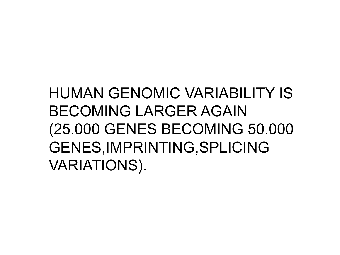# HUMAN GENOMIC VARIABILITY IS BECOMING LARGER AGAIN (25.000 GENES BECOMING 50.000 GENES,IMPRINTING,SPLICING VARIATIONS).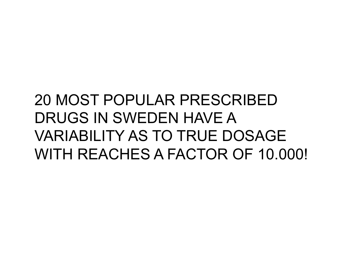## 20 MOST POPULAR PRESCRIBED DRUGS IN SWEDEN HAVE A VARIABILITY AS TO TRUE DOSAGE WITH REACHES A FACTOR OF 10.000!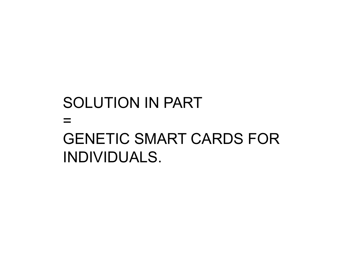#### SOLUTION IN PART = GENETIC SMART CARDS FOR INDIVIDUALS.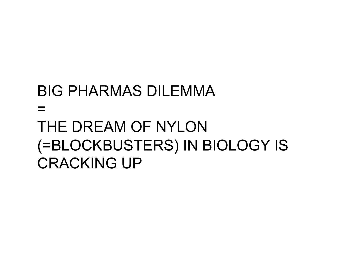## BIG PHARMAS DILEMMA  $\equiv$ THE DREAM OF NYLON (=BLOCKBUSTERS) IN BIOLOGY IS CRACKING UP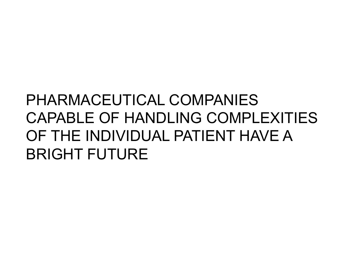# PHARMACEUTICAL COMPANIES CAPABLE OF HANDLING COMPLEXITIES OF THE INDIVIDUAL PATIENT HAVE A BRIGHT FUTURE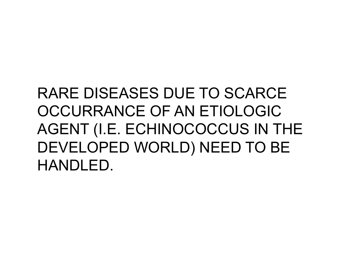# RARE DISEASES DUE TO SCARCE OCCURRANCE OF AN ETIOLOGIC AGENT (I.E. ECHINOCOCCUS IN THE DEVELOPED WORLD) NEED TO BE HANDLED.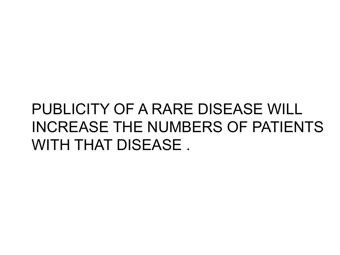## PUBLICITY OF A RARE DISEASE WILL INCREASE THE NUMBERS OF PATIENTS WITH THAT DISEASE.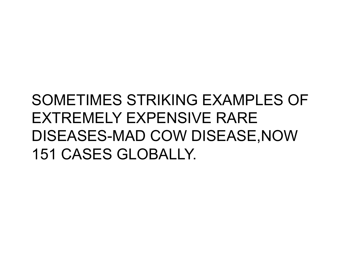## SOMETIMES STRIKING EXAMPLES OF EXTREMELY EXPENSIVE RARE DISEASES-MAD COW DISEASE,NOW 151 CASES GLOBALLY.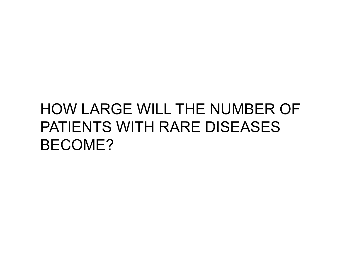## HOW LARGE WILL THE NUMBER OF PATIENTS WITH RARE DISEASES BECOME?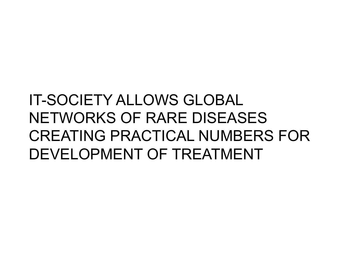# IT-SOCIETY ALLOWS GLOBAL NETWORKS OF RARE DISEASES CREATING PRACTICAL NUMBERS FOR DEVELOPMENT OF TREATMENT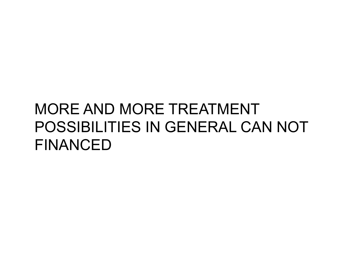## MORE AND MORE TREATMENT POSSIBILITIES IN GENERAL CAN NOT FINANCED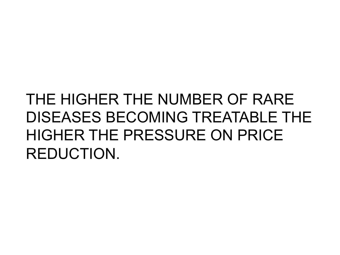# THE HIGHER THE NUMBER OF RARE DISEASES BECOMING TREATABLE THE HIGHER THE PRESSURE ON PRICE REDUCTION.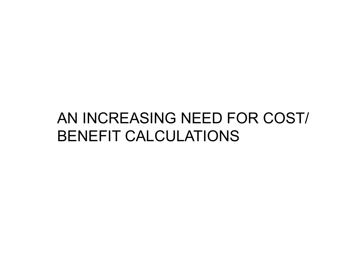#### AN INCREASING NEED FOR COST/ BENEFIT CALCULATIONS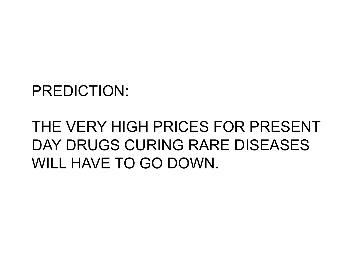#### PREDICTION:

# THE VERY HIGH PRICES FOR PRESENT DAY DRUGS CURING RARE DISEASES WILL HAVE TO GO DOWN.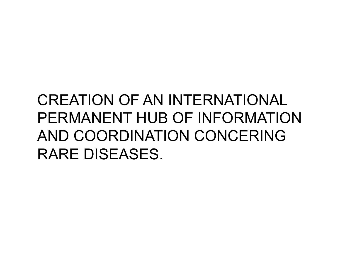## CREATION OF AN INTERNATIONAL PERMANENT HUB OF INFORMATION AND COORDINATION CONCERING RARE DISEASES.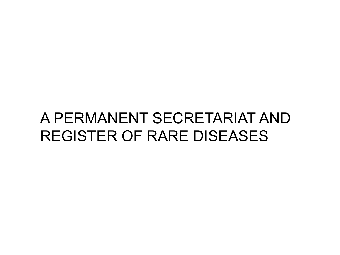#### A PERMANENT SECRETARIAT AND REGISTER OF RARE DISEASES